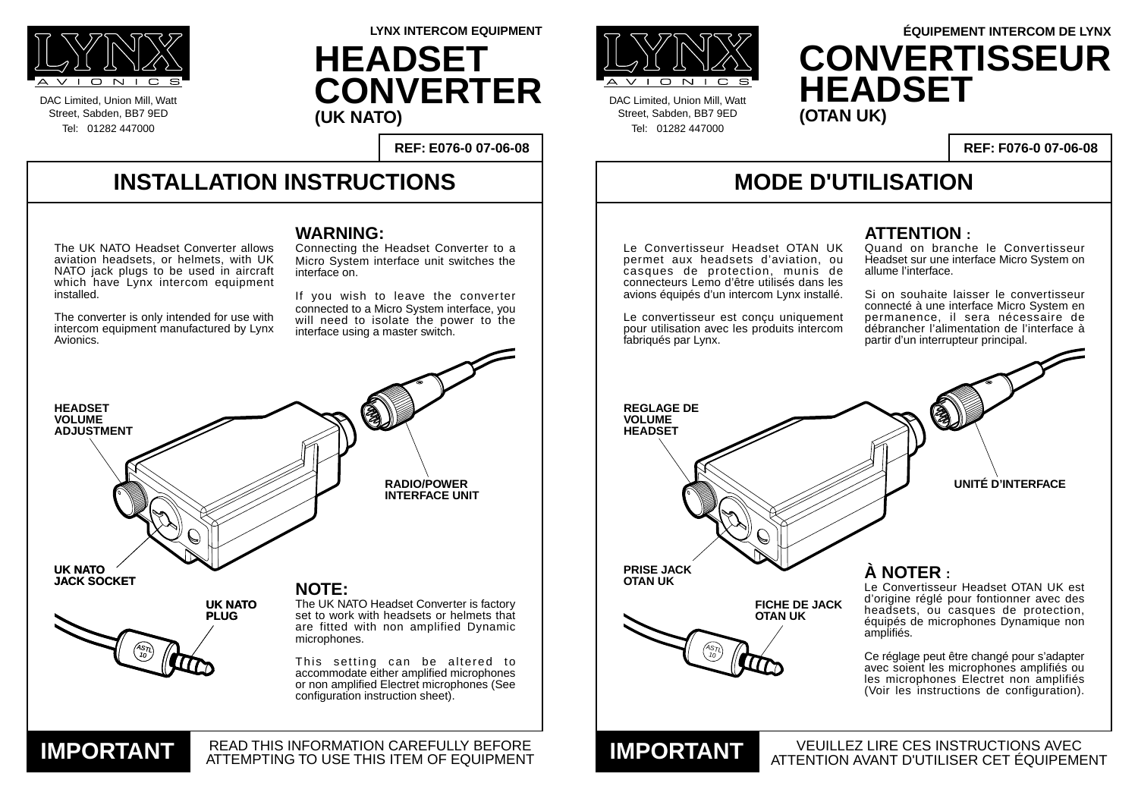#### **INSTALLATION INSTRUCTIONS**

DAC Limited, Union Mill, Watt Street, Sabden, BB7 9ED Tel: 01282 447000



DAC Limited, Union Mill, Watt Street, Sabden, BB7 9ED Tel: 01282 447000

**REF: E076-0 07-06-08**

**LYNX INTERCOM EQUIPMENT**

## **MODE D'UTILISATION**

VEUILLEZ LIRE CES INSTRUCTIONS AVEC

**REF: F076-0 07-06-08**

#### **WARNING:**

Connecting the Headset Converter to a Micro System interface unit switches the interface on.

If you wish to leave the converter connected to a Micro System interface, you will need to isolate the power to the interface using a master switch.

**UNITÉ D'INTERFACE**

#### **ATTENTION :**

Quand on branche le Convertisseur Headset sur une interface Micro System on allume l'interface.





Si on souhaite laisser le convertisseur connecté à une interface Micro System en permanence, il sera nécessaire de débrancher l'alimentation de l'interface à partir d'un interrupteur principal.



**HEADSET CONVERTER (UK NATO)**

# **ÉQUIPEMENT INTERCOM DE LYNX CONVERTISSEUR HEADSET**

The UK NATO Headset Converter allows aviation headsets, or helmets, with UK NATO jack plugs to be used in aircraft which have Lynx intercom equipment installed.

The converter is only intended for use with intercom equipment manufactured by Lynx Avionics.

**À NOTER :**

Le Convertisseur Headset OTAN UK est d'origine réglé pour fontionner avec des headsets, ou casques de protection, équipés de microphones Dynamique non amplifiés.

Ce réglage peut être changé pour s'adapter avec soient les microphones amplifiés ou les microphones Electret non amplifiés (Voir les instructions de configuration).

Le Convertisseur Headset OTAN UK permet aux headsets d'aviation, ou casques de protection, munis de connecteurs Lemo d'être utilisés dans les avions équipés d'un intercom Lynx installé.

Le convertisseur est conçu uniquement pour utilisation avec les produits intercom fabriqués par Lynx.